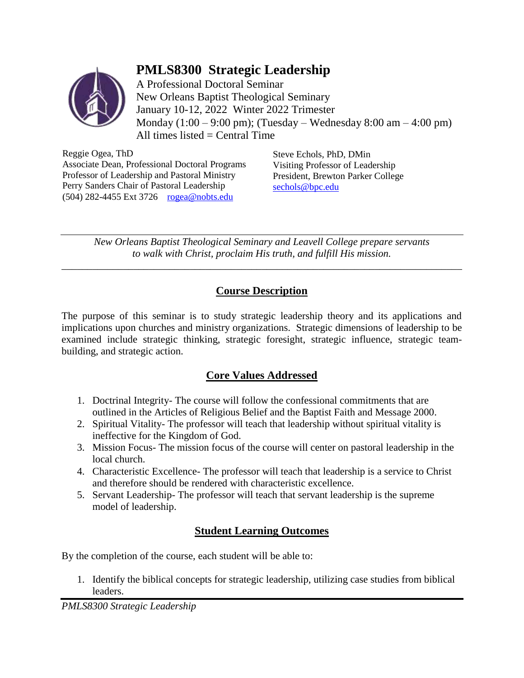# **PMLS8300 Strategic Leadership**



A Professional Doctoral Seminar New Orleans Baptist Theological Seminary January 10-12, 2022 Winter 2022 Trimester Monday  $(1:00 - 9:00 \text{ pm})$ ; (Tuesday – Wednesday 8:00 am – 4:00 pm) All times listed  $=$  Central Time

Reggie Ogea, ThD Associate Dean, Professional Doctoral Programs Professor of Leadership and Pastoral Ministry Perry Sanders Chair of Pastoral Leadership (504) 282-4455 Ext 3726 [rogea@nobts.edu](file:///C:/Users/ROgea/Google%20Drive/1%20Laptop%20Documents/Syllabi/rogea@nobts.edu)

Steve Echols, PhD, DMin Visiting Professor of Leadership President, Brewton Parker College [sechols@bpc.edu](mailto:sechols@bpc.edu)

*New Orleans Baptist Theological Seminary and Leavell College prepare servants to walk with Christ, proclaim His truth, and fulfill His mission.* 

*\_\_\_\_\_\_\_\_\_\_\_\_\_\_\_\_\_\_\_\_\_\_\_\_\_\_\_\_\_\_\_\_\_\_\_\_\_\_\_\_\_\_\_\_\_\_\_\_\_\_\_\_\_\_\_\_\_\_\_\_\_\_\_\_\_\_\_\_\_\_\_\_\_\_\_\_\_\_*

# **Course Description**

The purpose of this seminar is to study strategic leadership theory and its applications and implications upon churches and ministry organizations. Strategic dimensions of leadership to be examined include strategic thinking, strategic foresight, strategic influence, strategic teambuilding, and strategic action.

# **Core Values Addressed**

- 1. Doctrinal Integrity- The course will follow the confessional commitments that are outlined in the Articles of Religious Belief and the Baptist Faith and Message 2000.
- 2. Spiritual Vitality- The professor will teach that leadership without spiritual vitality is ineffective for the Kingdom of God.
- 3. Mission Focus- The mission focus of the course will center on pastoral leadership in the local church.
- 4. Characteristic Excellence- The professor will teach that leadership is a service to Christ and therefore should be rendered with characteristic excellence.
- 5. Servant Leadership- The professor will teach that servant leadership is the supreme model of leadership.

# **Student Learning Outcomes**

By the completion of the course, each student will be able to:

1. Identify the biblical concepts for strategic leadership, utilizing case studies from biblical leaders.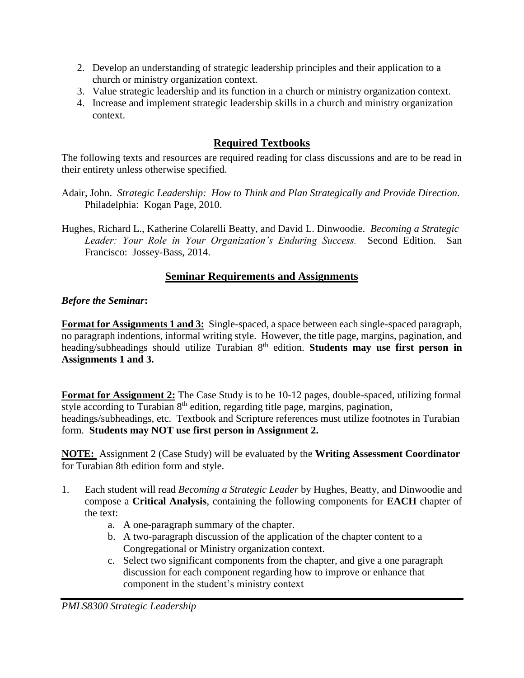- 2. Develop an understanding of strategic leadership principles and their application to a church or ministry organization context.
- 3. Value strategic leadership and its function in a church or ministry organization context.
- 4. Increase and implement strategic leadership skills in a church and ministry organization context.

# **Required Textbooks**

The following texts and resources are required reading for class discussions and are to be read in their entirety unless otherwise specified.

- Adair, John. *Strategic Leadership: How to Think and Plan Strategically and Provide Direction.* Philadelphia: Kogan Page, 2010.
- Hughes, Richard L., Katherine Colarelli Beatty, and David L. Dinwoodie. *Becoming a Strategic Leader: Your Role in Your Organization's Enduring Success.* Second Edition. San Francisco: Jossey-Bass, 2014.

## **Seminar Requirements and Assignments**

## *Before the Seminar***:**

**Format for Assignments 1 and 3:** Single-spaced, a space between each single-spaced paragraph, no paragraph indentions, informal writing style. However, the title page, margins, pagination, and heading/subheadings should utilize Turabian 8<sup>th</sup> edition. **Students may use first person in Assignments 1 and 3.** 

**Format for Assignment 2:** The Case Study is to be 10-12 pages, double-spaced, utilizing formal style according to Turabian  $8<sup>th</sup>$  edition, regarding title page, margins, pagination, headings/subheadings, etc. Textbook and Scripture references must utilize footnotes in Turabian form. **Students may NOT use first person in Assignment 2.**

**NOTE:** Assignment 2 (Case Study) will be evaluated by the **Writing Assessment Coordinator**  for Turabian 8th edition form and style.

- 1. Each student will read *Becoming a Strategic Leader* by Hughes, Beatty, and Dinwoodie and compose a **Critical Analysis**, containing the following components for **EACH** chapter of the text:
	- a. A one-paragraph summary of the chapter.
	- b. A two-paragraph discussion of the application of the chapter content to a Congregational or Ministry organization context.
	- c. Select two significant components from the chapter, and give a one paragraph discussion for each component regarding how to improve or enhance that component in the student's ministry context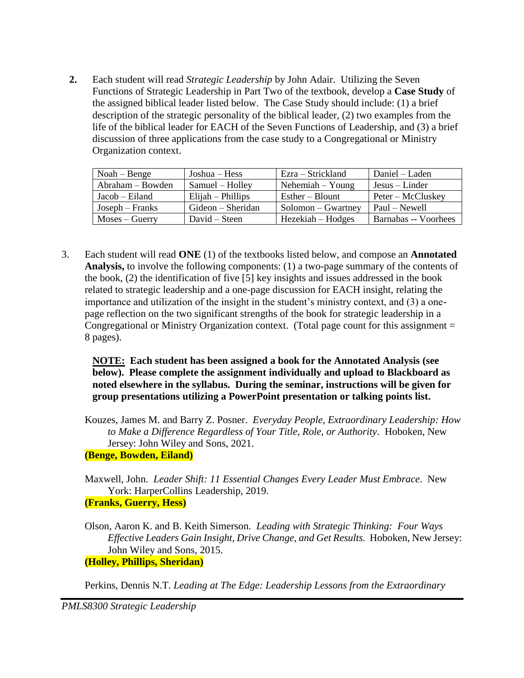**2.** Each student will read *Strategic Leadership* by John Adair. Utilizing the Seven Functions of Strategic Leadership in Part Two of the textbook, develop a **Case Study** of the assigned biblical leader listed below. The Case Study should include: (1) a brief description of the strategic personality of the biblical leader, (2) two examples from the life of the biblical leader for EACH of the Seven Functions of Leadership, and (3) a brief discussion of three applications from the case study to a Congregational or Ministry Organization context.

| $Noah - Benge$     | Joshua – Hess       | Ezra – Strickland     | Daniel – Laden       |
|--------------------|---------------------|-----------------------|----------------------|
| $Abraham - Bowden$ | Samuel – Holley     | $Nehemiah - Young$    | $Jesus - Linder$     |
| $Jacob - Eiland$   | $Elijah - Phillips$ | $Esther - Blount$     | Peter – McCluskey    |
| $Joseph-Franks$    | Gideon – Sheridan   | $Solution - Gwartney$ | Paul – Newell        |
| $Moses - Guerry$   | $David - Steen$     | Hezekiah – Hodges     | Barnabas -- Voorhees |

3. Each student will read **ONE** (1) of the textbooks listed below, and compose an **Annotated Analysis,** to involve the following components: (1) a two-page summary of the contents of the book, (2) the identification of five [5] key insights and issues addressed in the book related to strategic leadership and a one-page discussion for EACH insight, relating the importance and utilization of the insight in the student's ministry context, and (3) a onepage reflection on the two significant strengths of the book for strategic leadership in a Congregational or Ministry Organization context. (Total page count for this assignment = 8 pages).

**NOTE: Each student has been assigned a book for the Annotated Analysis (see below). Please complete the assignment individually and upload to Blackboard as noted elsewhere in the syllabus. During the seminar, instructions will be given for group presentations utilizing a PowerPoint presentation or talking points list.**

Kouzes, James M. and Barry Z. Posner. *Everyday People, Extraordinary Leadership: How to Make a Difference Regardless of Your Title, Role, or Authority*. Hoboken, New Jersey: John Wiley and Sons, 2021. **(Benge, Bowden, Eiland)**

Maxwell, John. *Leader Shift: 11 Essential Changes Every Leader Must Embrace*. New York: HarperCollins Leadership, 2019. **(Franks, Guerry, Hess)**

Olson, Aaron K. and B. Keith Simerson. *Leading with Strategic Thinking: Four Ways Effective Leaders Gain Insight, Drive Change, and Get Results.* Hoboken, New Jersey: John Wiley and Sons, 2015. **(Holley, Phillips, Sheridan)**

Perkins, Dennis N.T. *Leading at The Edge: Leadership Lessons from the Extraordinary*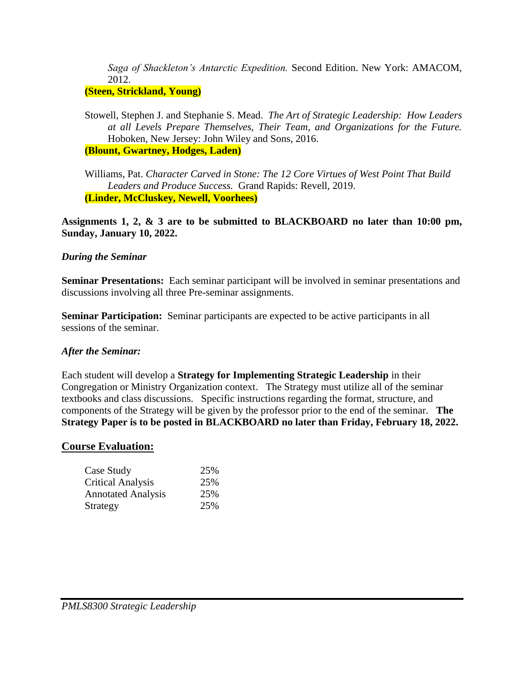*Saga of Shackleton's Antarctic Expedition.* Second Edition. New York: AMACOM, 2012.

## **(Steen, Strickland, Young)**

Stowell, Stephen J. and Stephanie S. Mead. *The Art of Strategic Leadership: How Leaders at all Levels Prepare Themselves, Their Team, and Organizations for the Future.* Hoboken, New Jersey: John Wiley and Sons, 2016. **(Blount, Gwartney, Hodges, Laden)**

Williams, Pat. *Character Carved in Stone: The 12 Core Virtues of West Point That Build Leaders and Produce Success.* Grand Rapids: Revell, 2019. **(Linder, McCluskey, Newell, Voorhees)**

**Assignments 1, 2, & 3 are to be submitted to BLACKBOARD no later than 10:00 pm, Sunday, January 10, 2022.**

#### *During the Seminar*

**Seminar Presentations:** Each seminar participant will be involved in seminar presentations and discussions involving all three Pre-seminar assignments.

**Seminar Participation:** Seminar participants are expected to be active participants in all sessions of the seminar.

#### *After the Seminar:*

Each student will develop a **Strategy for Implementing Strategic Leadership** in their Congregation or Ministry Organization context. The Strategy must utilize all of the seminar textbooks and class discussions. Specific instructions regarding the format, structure, and components of the Strategy will be given by the professor prior to the end of the seminar. **The Strategy Paper is to be posted in BLACKBOARD no later than Friday, February 18, 2022.**

#### **Course Evaluation:**

| 25% |
|-----|
| 25% |
| 25% |
| 25% |
|     |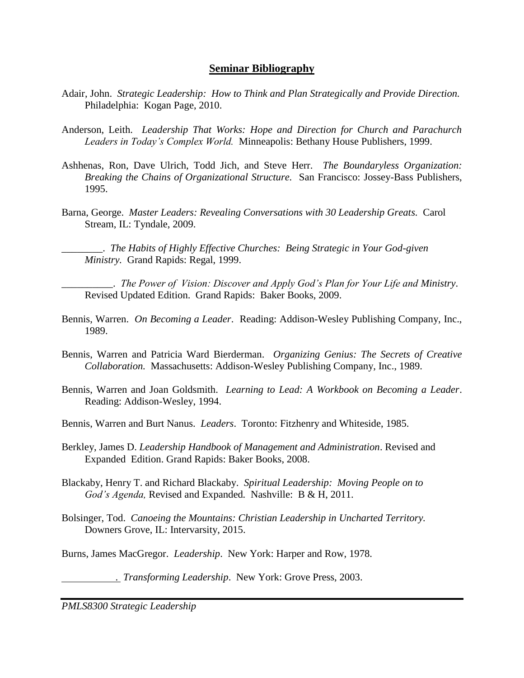### **Seminar Bibliography**

- Adair, John. *Strategic Leadership: How to Think and Plan Strategically and Provide Direction.* Philadelphia: Kogan Page, 2010.
- Anderson, Leith. *Leadership That Works: Hope and Direction for Church and Parachurch Leaders in Today's Complex World.* Minneapolis: Bethany House Publishers, 1999.
- Ashhenas, Ron, Dave Ulrich, Todd Jich, and Steve Herr. *The Boundaryless Organization: Breaking the Chains of Organizational Structure.* San Francisco: Jossey-Bass Publishers, 1995.
- Barna, George. *Master Leaders: Revealing Conversations with 30 Leadership Greats.* Carol Stream, IL: Tyndale, 2009.

\_\_\_\_\_\_\_\_. *The Habits of Highly Effective Churches: Being Strategic in Your God-given Ministry.* Grand Rapids: Regal, 1999.

\_\_\_\_\_\_\_\_\_\_. *The Power of Vision: Discover and Apply God's Plan for Your Life and Ministry*. Revised Updated Edition. Grand Rapids: Baker Books, 2009.

- Bennis, Warren. *On Becoming a Leader*. Reading: Addison-Wesley Publishing Company, Inc., 1989.
- Bennis, Warren and Patricia Ward Bierderman. *Organizing Genius: The Secrets of Creative Collaboration.* Massachusetts: Addison-Wesley Publishing Company, Inc., 1989.
- Bennis, Warren and Joan Goldsmith. *Learning to Lead: A Workbook on Becoming a Leader*. Reading: Addison-Wesley, 1994.
- Bennis, Warren and Burt Nanus. *Leaders*. Toronto: Fitzhenry and Whiteside, 1985.
- Berkley, James D. *Leadership Handbook of Management and Administration*. Revised and Expanded Edition. Grand Rapids: Baker Books, 2008.
- Blackaby, Henry T. and Richard Blackaby. *Spiritual Leadership: Moving People on to God's Agenda,* Revised and Expanded*.* Nashville: B & H, 2011.
- Bolsinger, Tod. *Canoeing the Mountains: Christian Leadership in Uncharted Territory.* Downers Grove, IL: Intervarsity, 2015.
- Burns, James MacGregor. *Leadership*. New York: Harper and Row, 1978.

. *Transforming Leadership*. New York: Grove Press, 2003.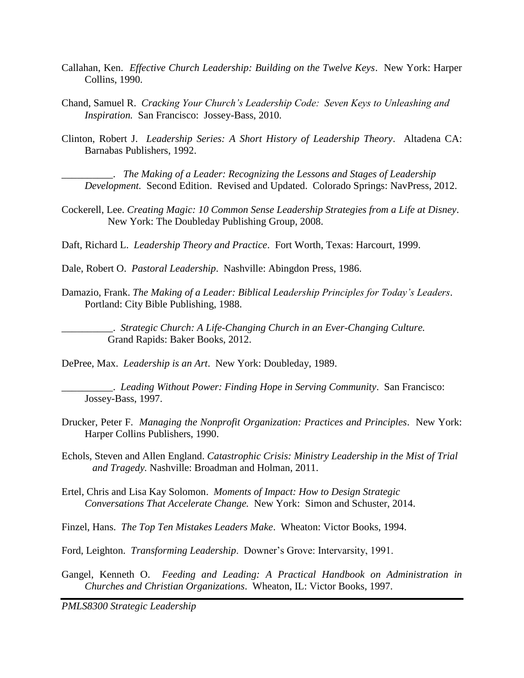- Callahan, Ken. *Effective Church Leadership: Building on the Twelve Keys*. New York: Harper Collins, 1990.
- Chand, Samuel R. *Cracking Your Church's Leadership Code: Seven Keys to Unleashing and Inspiration.* San Francisco: Jossey-Bass, 2010.
- Clinton, Robert J. *Leadership Series: A Short History of Leadership Theory*. Altadena CA: Barnabas Publishers, 1992.

\_\_\_\_\_\_\_\_\_\_. *The Making of a Leader: Recognizing the Lessons and Stages of Leadership Development.* Second Edition. Revised and Updated. Colorado Springs: NavPress, 2012.

Cockerell, Lee. *Creating Magic: 10 Common Sense Leadership Strategies from a Life at Disney*. New York: The Doubleday Publishing Group, 2008.

Daft, Richard L. *Leadership Theory and Practice*. Fort Worth, Texas: Harcourt, 1999.

- Dale, Robert O. *Pastoral Leadership*. Nashville: Abingdon Press, 1986.
- Damazio, Frank. *The Making of a Leader: Biblical Leadership Principles for Today's Leaders*. Portland: City Bible Publishing, 1988.

\_\_\_\_\_\_\_\_\_\_. *Strategic Church: A Life-Changing Church in an Ever-Changing Culture.* Grand Rapids: Baker Books, 2012.

DePree, Max. *Leadership is an Art*. New York: Doubleday, 1989.

\_\_\_\_\_\_\_\_\_\_. *Leading Without Power: Finding Hope in Serving Community*. San Francisco: Jossey-Bass, 1997.

- Drucker, Peter F. *Managing the Nonprofit Organization: Practices and Principles*. New York: Harper Collins Publishers, 1990.
- Echols, Steven and Allen England. *Catastrophic Crisis: Ministry Leadership in the Mist of Trial and Tragedy.* Nashville: Broadman and Holman, 2011.
- Ertel, Chris and Lisa Kay Solomon. *Moments of Impact: How to Design Strategic Conversations That Accelerate Change.* New York: Simon and Schuster, 2014.

Finzel, Hans. *The Top Ten Mistakes Leaders Make*. Wheaton: Victor Books, 1994.

Ford, Leighton. *Transforming Leadership*. Downer's Grove: Intervarsity, 1991.

Gangel, Kenneth O. *Feeding and Leading: A Practical Handbook on Administration in Churches and Christian Organizations*. Wheaton, IL: Victor Books, 1997.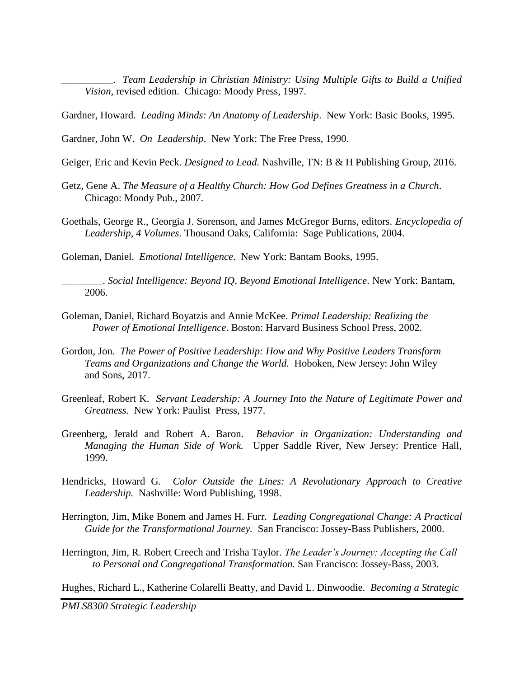\_\_\_\_\_\_\_\_\_\_. *Team Leadership in Christian Ministry: Using Multiple Gifts to Build a Unified Vision*, revised edition. Chicago: Moody Press, 1997.

Gardner, Howard. *Leading Minds: An Anatomy of Leadership*. New York: Basic Books, 1995.

Gardner, John W. *On Leadership*. New York: The Free Press, 1990.

- Geiger, Eric and Kevin Peck. *Designed to Lead.* Nashville, TN: B & H Publishing Group, 2016.
- Getz, Gene A. *The Measure of a Healthy Church: How God Defines Greatness in a Church*. Chicago: Moody Pub., 2007.
- Goethals, George R., Georgia J. Sorenson, and James McGregor Burns, editors. *Encyclopedia of Leadership, 4 Volumes*. Thousand Oaks, California: Sage Publications, 2004.

Goleman, Daniel. *Emotional Intelligence*. New York: Bantam Books, 1995.

\_\_\_\_\_\_\_\_. *Social Intelligence: Beyond IQ, Beyond Emotional Intelligence*. New York: Bantam, 2006.

- Goleman, Daniel, Richard Boyatzis and Annie McKee. *Primal Leadership: Realizing the Power of Emotional Intelligence*. Boston: Harvard Business School Press, 2002.
- Gordon, Jon. *The Power of Positive Leadership: How and Why Positive Leaders Transform Teams and Organizations and Change the World.* Hoboken, New Jersey: John Wiley and Sons, 2017.
- Greenleaf, Robert K. *Servant Leadership: A Journey Into the Nature of Legitimate Power and Greatness.* New York: Paulist Press, 1977.
- Greenberg, Jerald and Robert A. Baron. *Behavior in Organization: Understanding and Managing the Human Side of Work.* Upper Saddle River, New Jersey: Prentice Hall, 1999.
- Hendricks, Howard G. *Color Outside the Lines: A Revolutionary Approach to Creative Leadership.* Nashville: Word Publishing, 1998.
- Herrington, Jim, Mike Bonem and James H. Furr. *Leading Congregational Change: A Practical Guide for the Transformational Journey.* San Francisco: Jossey-Bass Publishers, 2000.
- Herrington, Jim, R. Robert Creech and Trisha Taylor. *The Leader's Journey: Accepting the Call to Personal and Congregational Transformation.* San Francisco: Jossey-Bass, 2003.

Hughes, Richard L., Katherine Colarelli Beatty, and David L. Dinwoodie. *Becoming a Strategic*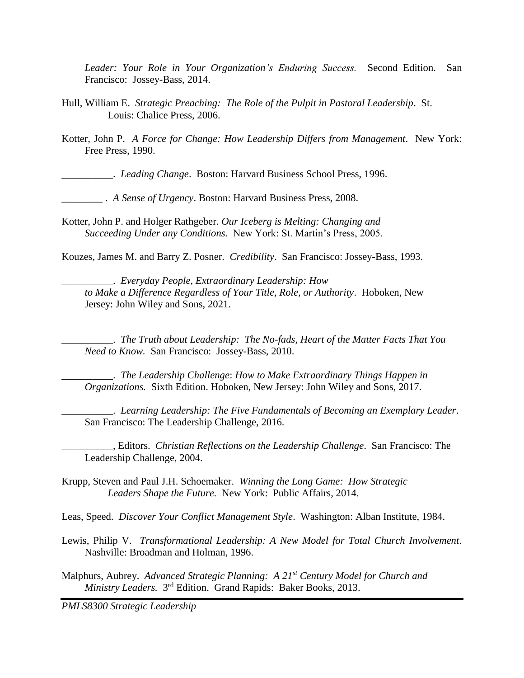*Leader: Your Role in Your Organization's Enduring Success.* Second Edition. San Francisco: Jossey-Bass, 2014.

- Hull, William E. *Strategic Preaching: The Role of the Pulpit in Pastoral Leadership*. St. Louis: Chalice Press, 2006.
- Kotter, John P. *A Force for Change: How Leadership Differs from Management*. New York: Free Press, 1990.

\_\_\_\_\_\_\_\_\_\_. *Leading Change*. Boston: Harvard Business School Press, 1996.

\_\_\_\_\_\_\_\_ . *A Sense of Urgency*. Boston: Harvard Business Press, 2008.

Kotter, John P. and Holger Rathgeber. *Our Iceberg is Melting: Changing and Succeeding Under any Conditions.* New York: St. Martin's Press, 2005.

Kouzes, James M. and Barry Z. Posner. *Credibility*. San Francisco: Jossey-Bass, 1993.

\_\_\_\_\_\_\_\_\_\_. *Everyday People, Extraordinary Leadership: How to Make a Difference Regardless of Your Title, Role, or Authority*. Hoboken, New Jersey: John Wiley and Sons, 2021.

\_\_\_\_\_\_\_\_\_\_. *The Truth about Leadership: The No-fads, Heart of the Matter Facts That You Need to Know.* San Francisco: Jossey-Bass, 2010.

\_\_\_\_\_\_\_\_\_\_. *The Leadership Challenge*: *How to Make Extraordinary Things Happen in Organizations.* Sixth Edition. Hoboken, New Jersey: John Wiley and Sons, 2017.

\_\_\_\_\_\_\_\_\_\_. *Learning Leadership: The Five Fundamentals of Becoming an Exemplary Leader*. San Francisco: The Leadership Challenge, 2016.

\_\_\_\_\_\_\_\_\_\_, Editors. *Christian Reflections on the Leadership Challenge*. San Francisco: The Leadership Challenge, 2004.

Krupp, Steven and Paul J.H. Schoemaker. *Winning the Long Game: How Strategic Leaders Shape the Future.* New York: Public Affairs, 2014.

Leas, Speed. *Discover Your Conflict Management Style*. Washington: Alban Institute, 1984.

- Lewis, Philip V. *Transformational Leadership: A New Model for Total Church Involvement*. Nashville: Broadman and Holman, 1996.
- Malphurs, Aubrey. *Advanced Strategic Planning: A 21st Century Model for Church and*  Ministry Leaders. 3<sup>rd</sup> Edition. Grand Rapids: Baker Books, 2013.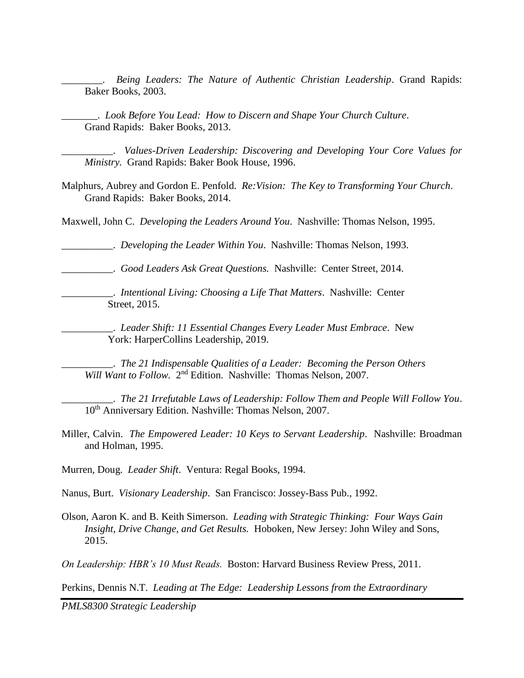*Being Leaders: The Nature of Authentic Christian Leadership. Grand Rapids:* Baker Books, 2003.

\_\_\_\_\_\_\_. *Look Before You Lead: How to Discern and Shape Your Church Culture*. Grand Rapids: Baker Books, 2013.

\_\_\_\_\_\_\_\_\_\_. *Values-Driven Leadership: Discovering and Developing Your Core Values for Ministry.* Grand Rapids: Baker Book House, 1996.

Malphurs, Aubrey and Gordon E. Penfold. *Re:Vision: The Key to Transforming Your Church*. Grand Rapids: Baker Books, 2014.

Maxwell, John C. *Developing the Leaders Around You*. Nashville: Thomas Nelson, 1995.

\_\_\_\_\_\_\_\_\_\_. *Developing the Leader Within You*. Nashville: Thomas Nelson, 1993.

\_\_\_\_\_\_\_\_\_\_. *Good Leaders Ask Great Questions.* Nashville: Center Street, 2014.

\_\_\_\_\_\_\_\_\_\_. *Intentional Living: Choosing a Life That Matters*. Nashville: Center Street, 2015.

\_\_\_\_\_\_\_\_\_\_. *Leader Shift: 11 Essential Changes Every Leader Must Embrace*. New York: HarperCollins Leadership, 2019.

\_\_\_\_\_\_\_\_\_\_. *The 21 Indispensable Qualities of a Leader: Becoming the Person Others* Will Want to Follow. 2<sup>nd</sup> Edition. Nashville: Thomas Nelson, 2007.

\_\_\_\_\_\_\_\_\_\_. *The 21 Irrefutable Laws of Leadership: Follow Them and People Will Follow You*. 10<sup>th</sup> Anniversary Edition. Nashville: Thomas Nelson, 2007.

Miller, Calvin. *The Empowered Leader: 10 Keys to Servant Leadership*. Nashville: Broadman and Holman, 1995.

Murren, Doug. *Leader Shift*. Ventura: Regal Books, 1994.

Nanus, Burt. *Visionary Leadership*. San Francisco: Jossey-Bass Pub., 1992.

Olson, Aaron K. and B. Keith Simerson. *Leading with Strategic Thinking: Four Ways Gain Insight, Drive Change, and Get Results.* Hoboken, New Jersey: John Wiley and Sons, 2015.

*On Leadership: HBR's 10 Must Reads.* Boston: Harvard Business Review Press, 2011.

Perkins, Dennis N.T. *Leading at The Edge: Leadership Lessons from the Extraordinary*